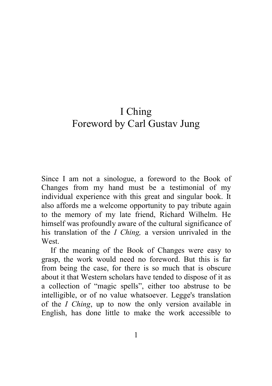## I Ching Foreword by Carl Gustav Jung

Since I am not a sinologue, a foreword to the Book of Changes from my hand must be a testimonial of my individual experience with this great and singular book. It also affords me a welcome opportunity to pay tribute again to the memory of my late friend, Richard Wilhelm. He himself was profoundly aware of the cultural significance of his translation of the *I Ching,* a version unrivaled in the **West**.

If the meaning of the Book of Changes were easy to grasp, the work would need no foreword. But this is far from being the case, for there is so much that is obscure about it that Western scholars have tended to dispose of it as a collection of *"* magic spells*"*, either too abstruse to be intelligible, or of no value whatsoever. Legge's translation of the *I Ching*, up to now the only version available in English, has done little to make the work accessible to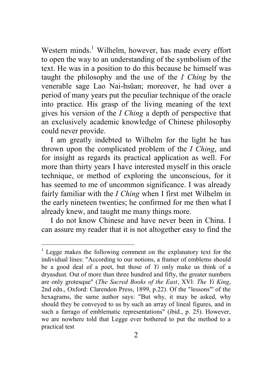Western minds.<sup>1</sup> Wilhelm, however, has made every effort to open the way to an understanding of the symbolism of the text. He was in a position to do this because he himself was taught the philosophy and the use of the *I Ching* by the venerable sage Lao Nai-hs*u*an; moreover, he had over a period of many years put the peculiar technique of the oracle into practice. His grasp of the living meaning of the text gives his version of the *I Ching* a depth of perspective that an exclusively academic knowledge of Chinese philosophy could never provide.

I am greatly indebted to Wilhelm for the light he has thrown upon the complicated problem of the *I Ching*, and for insight as regards its practical application as well. For more than thirty years I have interested myself in this oracle technique, or method of exploring the unconscious, for it has seemed to me of uncommon significance. I was already fairly familiar with the *I Ching* when I first met Wilhelm in the early nineteen twenties; he confirmed for me then what I already knew, and taught me many things more.

I do not know Chinese and have never been in China. I can assure my reader that it is not altogether easy to find the

<sup>&</sup>lt;sup>1</sup> Legge makes the following comment on the explanatory text for the individual lines: "According to our notions, a framer of emblems should be a good deal of a poet, but those of *Yi* only make us think of a dryasdust. Out of more than three hundred and fifty, the greater numbers are only grotesque" (*The Sacred Books of the East*, XVl: *The Yi King*, 2nd edn., Oxford: Clarendon Press, 1899, p.22). Of the "lessons"' of the hexagrams, the same author says: "But why, it may be asked, why should they be conveyed to us by such an array of lineal figures, and in such a farrago of emblematic representations" (ibid., p. 25). However, we are nowhere told that Legge ever bothered to put the method to a practical test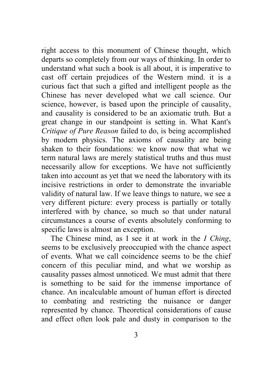right access to this monument of Chinese thought, which departs so completely from our ways of thinking. In order to understand what such a book is all about, it is imperative to cast off certain prejudices of the Western mind. it is a curious fact that such a gifted and intelligent people as the Chinese has never developed what we call science. Our science, however, is based upon the principle of causality, and causality is considered to be an axiomatic truth. But a great change in our standpoint is setting in. What Kant's *Critique of Pure Reason* failed to do, is being accomplished by modern physics. The axioms of causality are being shaken to their foundations: we know now that what we term natural laws are merely statistical truths and thus must necessarily allow for exceptions. We have not sufficiently taken into account as yet that we need the laboratory with its incisive restrictions in order to demonstrate the invariable validity of natural law. If we leave things to nature, we see a very different picture: every process is partially or totally interfered with by chance, so much so that under natural circumstances a course of events absolutely conforming to specific laws is almost an exception.

The Chinese mind, as I see it at work in the *I Ching*, seems to be exclusively preoccupied with the chance aspect of events. What we call coincidence seems to be the chief concern of this peculiar mind, and what we worship as causality passes almost unnoticed. We must admit that there is something to be said for the immense importance of chance. An incalculable amount of human effort is directed to combating and restricting the nuisance or danger represented by chance. Theoretical considerations of cause and effect often look pale and dusty in comparison to the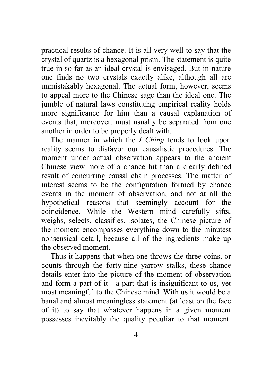practical results of chance. It is all very well to say that the crystal of quartz is a hexagonal prism. The statement is quite true in so far as an ideal crystal is envisaged. But in nature one finds no two crystals exactly alike, although all are unmistakably hexagonal. The actual form, however, seems to appeal more to the Chinese sage than the ideal one. The jumble of natural laws constituting empirical reality holds more significance for him than a causal explanation of events that, moreover, must usually be separated from one another in order to be properly dealt with.

The manner in which the *I Ching* tends to look upon reality seems to disfavor our causalistic procedures. The moment under actual observation appears to the ancient Chinese view more of a chance hit than a clearly defined result of concurring causal chain processes. The matter of interest seems to be the configuration formed by chance events in the moment of observation, and not at all the hypothetical reasons that seemingly account for the coincidence. While the Western mind carefully sifts, weighs, selects, classifies, isolates, the Chinese picture of the moment encompasses everything down to the minutest nonsensical detail, because all of the ingredients make up the observed moment.

Thus it happens that when one throws the three coins, or counts through the forty-nine yarrow stalks, these chance details enter into the picture of the moment of observation and form a part of it - a part that is insiguificant to us, yet most meaningful to the Chinese mind. With us it would be a banal and almost meaningless statement (at least on the face of it) to say that whatever happens in a given moment possesses inevitably the quality peculiar to that moment.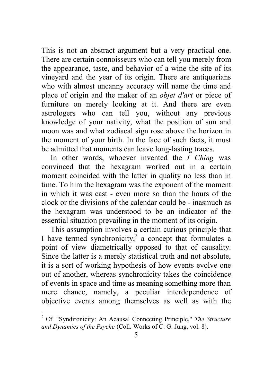This is not an abstract argument but a very practical one. There are certain connoisseurs who can tell you merely from the appearance, taste, and behavior of a wine the site of its vineyard and the year of its origin. There are antiquarians who with almost uncanny accuracy will name the time and place of origin and the maker of an *objet d'art* or piece of furniture on merely looking at it. And there are even astrologers who can tell you, without any previous knowledge of your nativity, what the position of sun and moon was and what zodiacal sign rose above the horizon in the moment of your birth. In the face of such facts, it must be admitted that moments can leave long-lasting traces.

In other words, whoever invented the *I Ching* was convinced that the hexagram worked out in a certain moment coincided with the latter in quality no less than in time. To him the hexagram was the exponent of the moment in which it was cast - even more so than the hours of the clock or the divisions of the calendar could be - inasmuch as the hexagram was understood to be an indicator of the essential situation prevailing in the moment of its origin.

This assumption involves a certain curious principle that I have termed synchronicity,<sup>2</sup> a concept that formulates a point of view diametrically opposed to that of causality. Since the latter is a merely statistical truth and not absolute, it is a sort of working hypothesis of how events evolve one out of another, whereas synchronicity takes the coincidence of events in space and time as meaning something more than mere chance, namely, a peculiar interdependence of objective events among themselves as well as with the

<sup>2</sup> Cf. "Syndironicity: An Acausal Connecting Principle," *The Structure and Dynamics of the Psyche* (Coll. Works of C. G. Jung, vol. 8).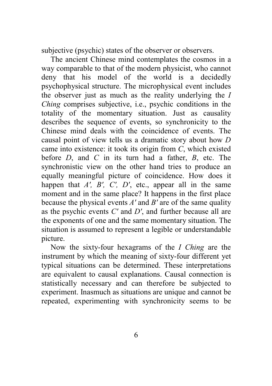subjective (psychic) states of the observer or observers.

The ancient Chinese mind contemplates the cosmos in a way comparable to that of the modern physicist, who cannot deny that his model of the world is a decidedly psychophysical structure. The microphysical event includes the observer just as much as the reality underlying the *I Ching* comprises subjective, i.e., psychic conditions in the totality of the momentary situation. Just as causality describes the sequence of events, so synchronicity to the Chinese mind deals with the coincidence of events. The causal point of view tells us a dramatic story about how *D* came into existence: it took its origin from *C*, which existed before *D*, and *C* in its turn had a father, *B*, etc. The synchronistic view on the other hand tries to produce an equally meaningful picture of coincidence. How does it happen that  $A'$ ,  $B'$ ,  $C'$ ,  $D'$ , etc., appear all in the same moment and in the same place? It happens in the first place because the physical events *A'* and *B'* are of the same quality as the psychic events *C'* and *D'*, and further because all are the exponents of one and the same momentary situation. The situation is assumed to represent a legible or understandable picture.

Now the sixty-four hexagrams of the *I Ching* are the instrument by which the meaning of sixty-four different yet typical situations can be determined. These interpretations are equivalent to causal explanations. Causal connection is statistically necessary and can therefore be subjected to experiment. Inasmuch as situations are unique and cannot be repeated, experimenting with synchronicity seems to be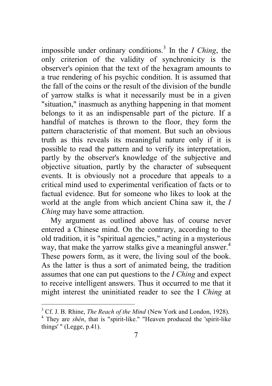impossible under ordinary conditions.<sup>3</sup> In the *I Ching*, the only criterion of the validity of synchronicity is the observer's opinion that the text of the hexagram amounts to a true rendering of his psychic condition. It is assumed that the fall of the coins or the result of the division of the bundle of yarrow stalks is what it necessarily must be in a given "situation," inasmuch as anything happening in that moment belongs to it as an indispensable part of the picture. If a handful of matches is thrown to the floor, they form the pattern characteristic of that moment. But such an obvious truth as this reveals its meaningful nature only if it is possible to read the pattern and to verify its interpretation, partly by the observer's knowledge of the subjective and objective situation, partly by the character of subsequent events. It is obviously not a procedure that appeals to a critical mind used to experimental verification of facts or to factual evidence. But for someone who likes to look at the world at the angle from which ancient China saw it, the *I Ching* may have some attraction.

My argument as outlined above has of course never entered a Chinese mind. On the contrary, according to the old tradition, it is "spiritual agencies," acting in a mysterious way, that make the yarrow stalks give a meaningful answer.<sup>4</sup> These powers form, as it were, the living soul of the book. As the latter is thus a sort of animated being, the tradition assumes that one can put questions to the *I Ching* and expect to receive intelligent answers. Thus it occurred to me that it might interest the uninitiated reader to see the I *Ching* at

<sup>&</sup>lt;sup>3</sup> Cf. J. B. Rhine, *The Reach of the Mind* (New York and London, 1928).

<sup>&</sup>lt;sup>4</sup> They are *shên*, that is "spirit-like." "Heaven produced the 'spirit-like things' " (Legge, p.41).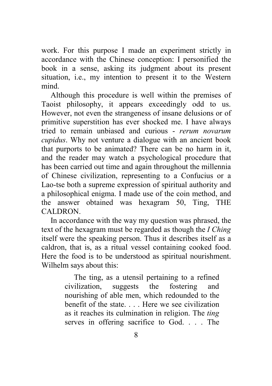work. For this purpose I made an experiment strictly in accordance with the Chinese conception: I personified the book in a sense, asking its judgment about its present situation, i.e., my intention to present it to the Western mind.

Although this procedure is well within the premises of Taoist philosophy, it appears exceedingly odd to us. However, not even the strangeness of insane delusions or of primitive superstition has ever shocked me. I have always tried to remain unbiased and curious - *rerum novarum cupidus*. Why not venture a dialogue with an ancient book that purports to be animated? There can be no harm in it, and the reader may watch a psychological procedure that has been carried out time and again throughout the millennia of Chinese civilization, representing to a Confucius or a Lao-tse both a supreme expression of spiritual authority and a philosophical enigma. I made use of the coin method, and the answer obtained was hexagram 50, Ting, THE CALDRON.

In accordance with the way my question was phrased, the text of the hexagram must be regarded as though the *I Ching* itself were the speaking person. Thus it describes itself as a caldron, that is, as a ritual vessel containing cooked food. Here the food is to be understood as spiritual nourishment. Wilhelm says about this:

> The ting, as a utensil pertaining to a refined civilization, suggests the fostering and nourishing of able men, which redounded to the benefit of the state. . . . Here we see civilization as it reaches its culmination in religion. The *ting* serves in offering sacrifice to God. . . . The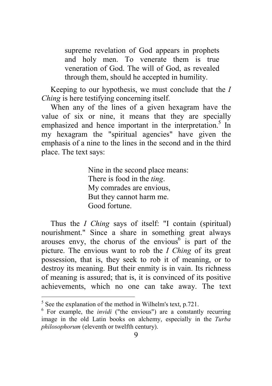supreme revelation of God appears in prophets and holy men. To venerate them is true veneration of God. The will of God, as revealed through them, should he accepted in humility.

Keeping to our hypothesis, we must conclude that the *I Ching* is here testifying concerning itself.

When any of the lines of a given hexagram have the value of six or nine, it means that they are specially emphasized and hence important in the interpretation.<sup>5</sup> In my hexagram the "spiritual agencies" have given the emphasis of a nine to the lines in the second and in the third place. The text says:

> Nine in the second place means: There is food in the *ting*. My comrades are envious, But they cannot harm me. Good fortune.

Thus the *I Ching* says of itself: "I contain (spiritual) nourishment." Since a share in something great always arouses envy, the chorus of the envious  $\overline{6}$  is part of the picture. The envious want to rob the *I Ching* of its great possession, that is, they seek to rob it of meaning, or to destroy its meaning. But their enmity is in vain. Its richness of meaning is assured; that is, it is convinced of its positive achievements, which no one can take away. The text

 $<sup>5</sup>$  See the explanation of the method in Wilhelm's text, p.721.</sup>

<sup>&</sup>lt;sup>6</sup> For example, the *invidi* ("the envious") are a constantly recurring image in the old Latin books on alchemy, especially in the *Turba philosophorum* (eleventh or twelfth century).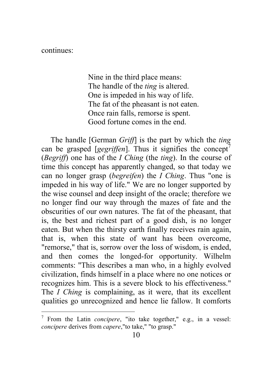## continues:

 $\overline{a}$ 

Nine in the third place means: The handle of the *ting* is altered. One is impeded in his way of life. The fat of the pheasant is not eaten. Once rain falls, remorse is spent. Good fortune comes in the end.

The handle [German *Griff*] is the part by which the *ting* can be grasped  $[gegriffen]$ . Thus it signifies the concept<sup>7</sup> (*Begriff*) one has of the *I Ching* (the *ting*). In the course of time this concept has apparently changed, so that today we can no longer grasp (*begreifen*) the *I Ching*. Thus "one is impeded in his way of life." We are no longer supported by the wise counsel and deep insight of the oracle; therefore we no longer find our way through the mazes of fate and the obscurities of our own natures. The fat of the pheasant, that is, the best and richest part of a good dish, is no longer eaten. But when the thirsty earth finally receives rain again, that is, when this state of want has been overcome, "remorse," that is, sorrow over the loss of wisdom, is ended, and then comes the longed-for opportunity. Wilhelm comments: "This describes a man who, in a highly evolved civilization, finds himself in a place where no one notices or recognizes him. This is a severe block to his effectiveness." The *I Ching* is complaining, as it were, that its excellent qualities go unrecognized and hence lie fallow. It comforts

<sup>7</sup> From the Latin *concipere*, "ito take together," e.g., in a vessel: *concipere* derives from *capere*,"to take," "to grasp."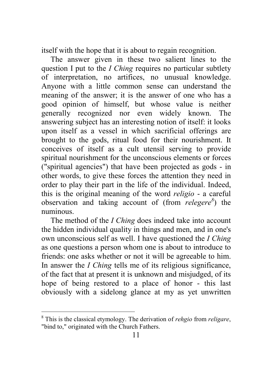itself with the hope that it is about to regain recognition.

The answer given in these two salient lines to the question I put to the *I Ching* requires no particular subtlety of interpretation, no artifices, no unusual knowledge. Anyone with a little common sense can understand the meaning of the answer; it is the answer of one who has a good opinion of himself, but whose value is neither generally recognized nor even widely known. The answering subject has an interesting notion of itself: it looks upon itself as a vessel in which sacrificial offerings are brought to the gods, ritual food for their nourishment. It conceives of itself as a cult utensil serving to provide spiritual nourishment for the unconscious elements or forces ("spiritual agencies") that have been projected as gods - in other words, to give these forces the attention they need in order to play their part in the life of the individual. Indeed, this is the original meaning of the word *religio* - a careful observation and taking account of (from *relegere 8* ) the numinous.

The method of the *I Ching* does indeed take into account the hidden individual quality in things and men, and in one's own unconscious self as well. I have questioned the *I Ching* as one questions a person whom one is about to introduce to friends: one asks whether or not it will be agreeable to him. In answer the *I Ching* tells me of its religious significance, of the fact that at present it is unknown and misjudged, of its hope of being restored to a place of honor - this last obviously with a sidelong glance at my as yet unwritten

<sup>8</sup> This is the classical etymology. The derivation of *rehgio* from *religare*, "bind to," originated with the Church Fathers.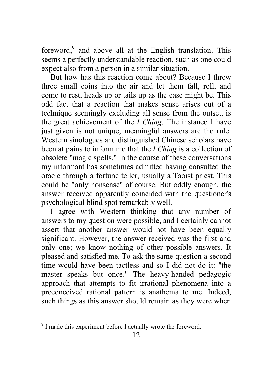foreword,<sup>9</sup> and above all at the English translation. This seems a perfectly understandable reaction, such as one could expect also from a person in a similar situation.

But how has this reaction come about? Because I threw three small coins into the air and let them fall, roll, and come to rest, heads up or tails up as the case might be. This odd fact that a reaction that makes sense arises out of a technique seemingly excluding all sense from the outset, is the great achievement of the *I Ching*. The instance I have just given is not unique; meaningful answers are the rule. Western sinologues and distinguished Chinese scholars have been at pains to inform me that the *I Ching* is a collection of obsolete "magic spells." In the course of these conversations my informant has sometimes admitted having consulted the oracle through a fortune teller, usually a Taoist priest. This could be "only nonsense" of course. But oddly enough, the answer received apparently coincided with the questioner's psychological blind spot remarkably well.

I agree with Western thinking that any number of answers to my question were possible, and I certainly cannot assert that another answer would not have been equally significant. However, the answer received was the first and only one; we know nothing of other possible answers. It pleased and satisfied me. To ask the same question a second time would have been tactless and so I did not do it: "the master speaks but once." The heavy-handed pedagogic approach that attempts to fit irrational phenomena into a preconceived rational pattern is anathema to me. Indeed, such things as this answer should remain as they were when

<sup>&</sup>lt;sup>9</sup> I made this experiment before I actually wrote the foreword.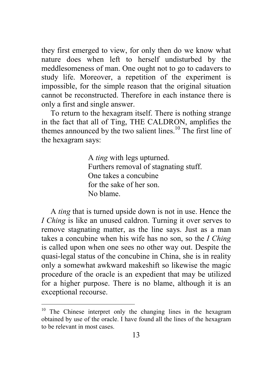they first emerged to view, for only then do we know what nature does when left to herself undisturbed by the meddlesomeness of man. One ought not to go to cadavers to study life. Moreover, a repetition of the experiment is impossible, for the simple reason that the original situation cannot be reconstructed. Therefore in each instance there is only a first and single answer.

To return to the hexagram itself. There is nothing strange in the fact that all of Ting, THE CALDRON, amplifies the themes announced by the two salient lines.<sup>10</sup> The first line of the hexagram says:

> A *ting* with legs upturned. Furthers removal of stagnating stuff. One takes a concubine for the sake of her son. No blame.

A *ting* that is turned upside down is not in use. Hence the *I Ching* is like an unused caldron. Turning it over serves to remove stagnating matter, as the line says. Just as a man takes a concubine when his wife has no son, so the *I Ching* is called upon when one sees no other way out. Despite the quasi-legal status of the concubine in China, she is in reality only a somewhat awkward makeshift so likewise the magic procedure of the oracle is an expedient that may be utilized for a higher purpose. There is no blame, although it is an exceptional recourse.

<sup>&</sup>lt;sup>10</sup> The Chinese interpret only the changing lines in the hexagram obtained by use of the oracle. I have found all the lines of the hexagram to be relevant in most cases.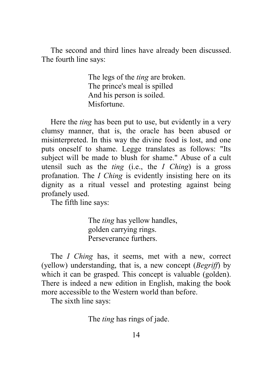The second and third lines have already been discussed. The fourth line says:

> The legs of the *ting* are broken. The prince's meal is spilled And his person is soiled. Misfortune.

Here the *ting* has been put to use, but evidently in a very clumsy manner, that is, the oracle has been abused or misinterpreted. In this way the divine food is lost, and one puts oneself to shame. Legge translates as follows: "Its subject will be made to blush for shame." Abuse of a cult utensil such as the *ting* (i.e., the *I Ching*) is a gross profanation. The *I Ching* is evidently insisting here on its dignity as a ritual vessel and protesting against being profanely used.

The fifth line says:

The *ting* has yellow handles, golden carrying rings. Perseverance furthers.

The *I Ching* has, it seems, met with a new, correct (yellow) understanding, that is, a new concept (*Begriff*) by which it can be grasped. This concept is valuable (golden). There is indeed a new edition in English, making the book more accessible to the Western world than before.

The sixth line says:

The *ting* has rings of jade.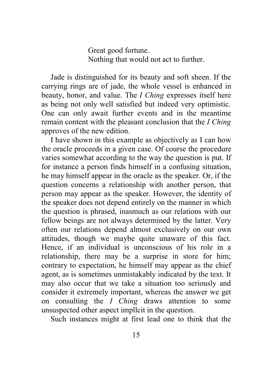Great good fortune. Nothing that would not act to further.

Jade is distinguished for its beauty and soft sheen. If the carrying rings are of jade, the whole vessel is enhanced in beauty, honor, and value. The *I Ching* expresses itself here as being not only well satisfied but indeed very optimistic. One can only await further events and in the meantime remain content with the pleasant conclusion that the *I Ching* approves of the new edition.

I have shown in this example as objectively as I can how the oracle proceeds in a given case. Of course the procedure varies somewhat according to the way the question is put. If for instance a person finds himself in a confusing situation, he may himself appear in the oracle as the speaker. Or, if the question concerns a relationship with another person, that person may appear as the speaker. However, the identity of the speaker does not depend entirely on the manner in which the question is phrased, inasmuch as our relations with our fellow beings are not always determined by the latter. Very often our relations depend almost exclusively on our own attitudes, though we maybe quite unaware of this fact. Hence, if an individual is unconscious of his role in a relationship, there may be a surprise in store for him; contrary to expectation, he himself may appear as the chief agent, as is sometimes unmistakably indicated by the text. It may also occur that we take a situation too seriously and consider it extremely important, whereas the answer we get on consulting the *I Ching* draws attention to some unsuspected other aspect impllcit in the question.

Such instances might at first lead one to think that the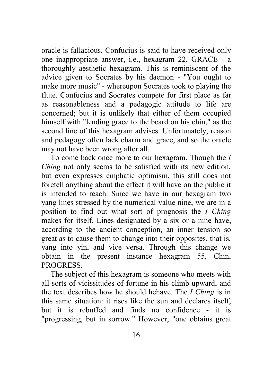oracle is fallacious. Confucius is said to have received only one inappropriate answer, i.e., hexagram 22, GRACE - a thoroughly aesthetic hexagram. This is reminiscent of the advice given to Socrates by his daemon - "You ought to make more music" - whereupon Socrates took to playing the flute. Confucius and Socrates compete for first place as far as reasonableness and a pedagogic attitude to life are concerned; but it is unlikely that either of them occupied himself with "lending grace to the beard on his chin," as the second line of this hexagram advises. Unfortunately, reason and pedagogy often lack charm and grace, and so the oracle may not have been wrong after all.

To come back once more to our hexagram. Though the *I Ching* not only seems to be satisfied with its new edition, but even expresses emphatic optimism, this still does not foretell anything about the effect it will have on the public it is intended to reach. Since we have in our hexagram two yang lines stressed by the numerical value nine, we are in a position to find out what sort of prognosis the *I Ching* makes for itself. Lines designated by a six or a nine have, according to the ancient conception, an inner tension so great as to cause them to change into their opposites, that is, yang into yin, and vice versa. Through this change we obtain in the present instance hexagram 55, Chin, **PROGRESS** 

The subject of this hexagram is someone who meets with all sorts of vicissitudes of fortune in his climb upward, and the text describes how he should hehave. The *I Ching* is in this same situation: it rises like the sun and declares itself, but it is rebuffed and finds no confidence - it is "progressing, but in sorrow." However, "one obtains great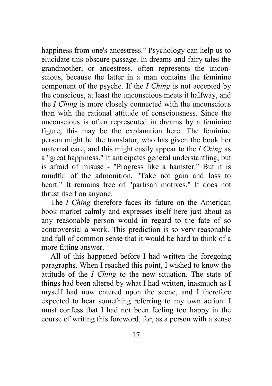happiness from one's ancestress." Psychology can help us to elucidate this obscure passage. In dreams and fairy tales the grandmother, or ancestress, often represents the unconscious, because the latter in a man contains the feminine component of the psyche. If the *I Ching* is not accepted by the conscious, at least the unconscious meets it halfway, and the *I Ching* is more closely connected with the unconscious than with the rational attitude of consciousness. Since the unconscious is often represented in dreams by a feminine figure, this may be the explanation here. The feminine person might be the translator, who has given the book her maternal care, and this might easily appear to the *I Ching* as a "great happiness." It anticipates general understantling, but is afraid of misuse - "Progress like a hamster." But it is mindful of the admonition, "Take not gain and loss to heart." It remains free of "partisan motives." It does not thrust itself on anyone.

The *I Ching* therefore faces its future on the American book market calmly and expresses itself here just about as any reasonable person would in regard to the fate of so controversial a work. This prediction is so very reasonable and full of common sense that it would be hard to think of a more fitting answer.

All of this happened before I had written the foregoing paragraphs. When I reached this point, I wished to know the attitude of the *I Ching* to the new situation. The state of things had been altered by what I had written, inasmuch as I myself had now entered upon the scene, and I therefore expected to hear something referring to my own action. I must confess that I had not been feeling too happy in the course of writing this foreword, for, as a person with a sense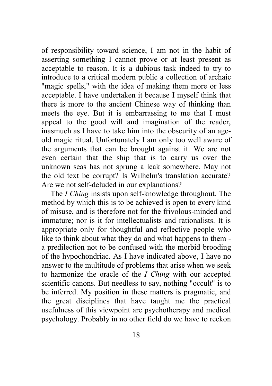of responsibility toward science, I am not in the habit of asserting something I cannot prove or at least present as acceptable to reason. It is a dubious task indeed to try to introduce to a critical modern public a collection of archaic "magic spells," with the idea of making them more or less acceptable. I have undertaken it because I myself think that there is more to the ancient Chinese way of thinking than meets the eye. But it is embarrassing to me that I must appeal to the good will and imagination of the reader, inasmuch as I have to take him into the obscurity of an ageold magic ritual. Unfortunately I am only too well aware of the arguments that can be brought against it. We are not even certain that the ship that is to carry us over the unknown seas has not sprung a leak somewhere. May not the old text be corrupt? Is Wilhelm's translation accurate? Are we not self-deluded in our explanations?

The *I Ching* insists upon self-knowledge throughout. The method by which this is to be achieved is open to every kind of misuse, and is therefore not for the frivolous-minded and immature; nor is it for intellectualists and rationalists. It is appropriate only for thoughtful and reflective people who like to think about what they do and what happens to them a predilection not to be confused with the morbid brooding of the hypochondriac. As I have indicated above, I have no answer to the multitude of problems that arise when we seek to harmonize the oracle of the *I Ching* with our accepted scientific canons. But needless to say, nothing "occult" is to be inferred. My position in these matters is pragmatic, and the great disciplines that have taught me the practical usefulness of this viewpoint are psychotherapy and medical psychology. Probably in no other field do we have to reckon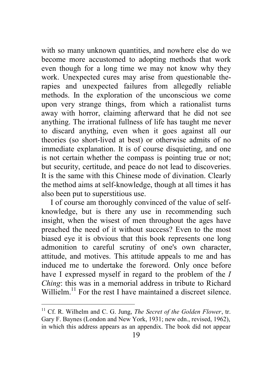with so many unknown quantities, and nowhere else do we become more accustomed to adopting methods that work even though for a long time we may not know why they work. Unexpected cures may arise from questionable therapies and unexpected failures from allegedly reliable methods. In the exploration of the unconscious we come upon very strange things, from which a rationalist turns away with horror, claiming afterward that he did not see anything. The irrational fullness of life has taught me never to discard anything, even when it goes against all our theories (so short-lived at best) or otherwise admits of no immediate explanation. It is of course disquieting, and one is not certain whether the compass is pointing true or not; but security, certitude, and peace do not lead to discoveries. It is the same with this Chinese mode of divination. Clearly the method aims at self-knowledge, though at all times it has also been put to superstitious use.

I of course am thoroughly convinced of the value of selfknowledge, but is there any use in recommending such insight, when the wisest of men throughout the ages have preached the need of it without success? Even to the most biased eye it is obvious that this book represents one long admonition to careful scrutiny of one's own character, attitude, and motives. This attitude appeals to me and has induced me to undertake the foreword. Only once before have I expressed myself in regard to the problem of the *I Ching*: this was in a memorial address in tribute to Richard Willielm.<sup>11</sup> For the rest I have maintained a discreet silence.

<sup>11</sup> Cf. R. Wilhelm and C. G. Jung, *The Secret of the Golden Flower*, tr. Gary F. Baynes (London and New York, 1931; new edn., revised, 1962), in which this address appears as an appendix. The book did not appear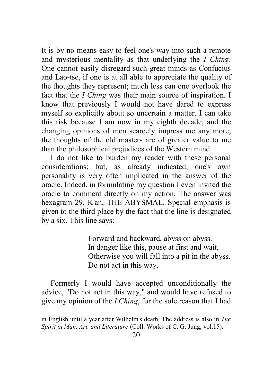It is by no means easy to feel one's way into such a remote and mysterious mentality as that underlying the *I Ching*. One cannot easily disregard such great minds as Confucius and Lao-tse, if one is at all able to appreciate the quality of the thoughts they represent; much less can one overlook the fact that the *I Ching* was their main source of inspiration. I know that previously I would not have dared to express myself so explicitly about so uncertain a matter. I can take this risk because I am now in my eighth decade, and the changing opinions of men scarcely impress me any more; the thoughts of the old masters are of greater value to me than the philosophical prejudices of the Western mind.

I do not like to burden my reader with these personal considerations; but, as already indicated, one's own personality is very often implicated in the answer of the oracle. Indeed, in formulating my question I even invited the oracle to comment directly on my action. The answer was hexagram 29, K'an, THE ABYSMAL. Special emphasis is given to the third place by the fact that the line is designated by a six. This line says:

> Forward and backward, abyss on abyss. In danger like this, pause at first and wait, Otherwise you will fall into a pit in the abyss. Do not act in this way.

Formerly I would have accepted unconditionally the advice, "Do not act in this way," and would have refused to give my opinion of the *I Ching*, for the sole reason that I had

in English until a year after Wilhelm's death. The address is also in *The Spirit in Man, Art, and Literature* (Coll. Works of C. G. Jung, vol.15).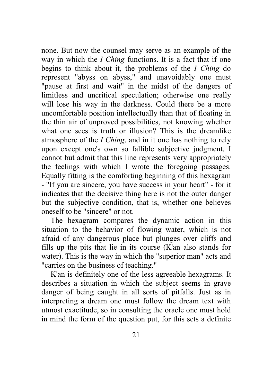none. But now the counsel may serve as an example of the way in which the *I Ching* functions. It is a fact that if one begins to think about it, the problems of the *I Ching* do represent "abyss on abyss," and unavoidably one must "pause at first and wait" in the midst of the dangers of limitless and uncritical speculation; otherwise one really will lose his way in the darkness. Could there be a more uncomfortable position intellectually than that of floating in the thin air of unproved possibilities, not knowing whether what one sees is truth or illusion? This is the dreamlike atmosphere of the *I Ching*, and in it one has nothing to rely upon except one's own so fallible subjective judgment. I cannot but admit that this line represents very appropriately the feelings with which I wrote the foregoing passages. Equally fitting is the comforting beginning of this hexagram - "If you are sincere, you have success in your heart" - for it indicates that the decisive thing here is not the outer danger but the subjective condition, that is, whether one believes oneself to be "sincere" or not.

The hexagram compares the dynamic action in this situation to the behavior of flowing water, which is not afraid of any dangerous place but plunges over cliffs and fills up the pits that lie in its course (K'an also stands for water). This is the way in which the "superior man" acts and "carries on the business of teaching."

K'an is definitely one of the less agreeable hexagrams. It describes a situation in which the subject seems in grave danger of being caught in all sorts of pitfalls. Just as in interpreting a dream one must follow the dream text with utmost exactitude, so in consulting the oracle one must hold in mind the form of the question put, for this sets a definite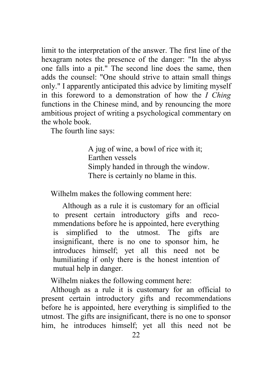limit to the interpretation of the answer. The first line of the hexagram notes the presence of the danger: "In the abyss one falls into a pit." The second line does the same, then adds the counsel: "One should strive to attain small things only." I apparently anticipated this advice by limiting myself in this foreword to a demonstration of how the *I Ching* functions in the Chinese mind, and by renouncing the more ambitious project of writing a psychological commentary on the whole book.

The fourth line says:

A jug of wine, a bowl of rice with it; Earthen vessels Simply handed in through the window. There is certainly no blame in this.

Wilhelm makes the following comment here:

Although as a rule it is customary for an official to present certain introductory gifts and recommendations before he is appointed, here everything is simplified to the utmost. The gifts are insignificant, there is no one to sponsor him, he introduces himself; yet all this need not be humiliating if only there is the honest intention of mutual help in danger.

Wilhelm niakes the following comment here:

Although as a rule it is customary for an official to present certain introductory gifts and recommendations before he is appointed, here everything is simplified to the utmost. The gifts are insignificant, there is no one to sponsor him, he introduces himself; yet all this need not be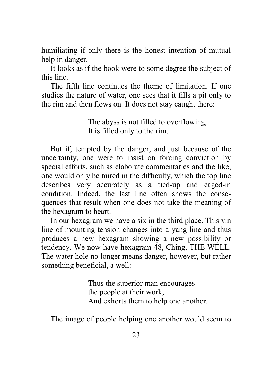humiliating if only there is the honest intention of mutual help in danger.

It looks as if the book were to some degree the subject of this line.

The fifth line continues the theme of limitation. If one studies the nature of water, one sees that it fills a pit only to the rim and then flows on. It does not stay caught there:

> The abyss is not filled to overflowing, It is filled only to the rim.

But if, tempted by the danger, and just because of the uncertainty, one were to insist on forcing conviction by special efforts, such as elaborate commentaries and the like, one would only be mired in the difficulty, which the top line describes very accurately as a tied-up and caged-in condition. Indeed, the last line often shows the consequences that result when one does not take the meaning of the hexagram to heart.

In our hexagram we have a six in the third place. This yin line of mounting tension changes into a yang line and thus produces a new hexagram showing a new possibility or tendency. We now have hexagram 48, Ching, THE WELL. The water hole no longer means danger, however, but rather something beneficial, a well:

> Thus the superior man encourages the people at their work, And exhorts them to help one another.

The image of people helping one another would seem to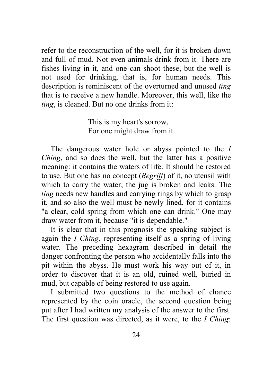refer to the reconstruction of the well, for it is broken down and full of mud. Not even animals drink from it. There are fishes living in it, and one can shoot these, but the well is not used for drinking, that is, for human needs. This description is reminiscent of the overturned and unused *ting* that is to receive a new handle. Moreover, this well, like the *ting*, is cleaned. But no one drinks from it:

> This is my heart's sorrow, For one might draw from it.

The dangerous water hole or abyss pointed to the *I Ching*, and so does the well, but the latter has a positive meaning: it contains the waters of life. It should he restored to use. But one has no concept (*Begriff*) of it, no utensil with which to carry the water; the jug is broken and leaks. The *ting* needs new handles and carrying rings by which to grasp it, and so also the well must be newly lined, for it contains "a clear, cold spring from which one can drink." One may draw water from it, because "it is dependable."

It is clear that in this prognosis the speaking subject is again the *I Ching*, representing itself as a spring of living water. The preceding hexagram described in detail the danger confronting the person who accidentally falls into the pit within the abyss. He must work his way out of it, in order to discover that it is an old, ruined well, buried in mud, but capable of being restored to use again.

I submitted two questions to the method of chance represented by the coin oracle, the second question being put after I had written my analysis of the answer to the first. The first question was directed, as it were, to the *I Ching*: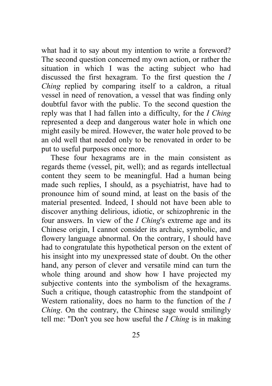what had it to say about my intention to write a foreword? The second question concerned my own action, or rather the situation in which I was the acting subject who had discussed the first hexagram. To the first question the *I Ching* replied by comparing itself to a caldron, a ritual vessel in need of renovation, a vessel that was finding only doubtful favor with the public. To the second question the reply was that I had fallen into a difficulty, for the *I Ching* represented a deep and dangerous water hole in which one might easily be mired. However, the water hole proved to be an old well that needed only to be renovated in order to be put to useful purposes once more.

These four hexagrams are in the main consistent as regards theme (vessel, pit, well); and as regards intellectual content they seem to be meaningful. Had a human being made such replies, I should, as a psychiatrist, have had to pronounce him of sound mind, at least on the basis of the material presented. Indeed, I should not have been able to discover anything delirious, idiotic, or schizophrenic in the four answers. In view of the *I Ching*'s extreme age and its Chinese origin, I cannot consider its archaic, symbolic, and flowery language abnormal. On the contrary, I should have had to congratulate this hypothetical person on the extent of his insight into my unexpressed state of doubt. On the other hand, any person of clever and versatile mind can turn the whole thing around and show how I have projected my subjective contents into the symbolism of the hexagrams. Such a critique, though catastrophic from the standpoint of Western rationality, does no harm to the function of the *I Ching*. On the contrary, the Chinese sage would smilingly tell me: "Don't you see how useful the *I Ching* is in making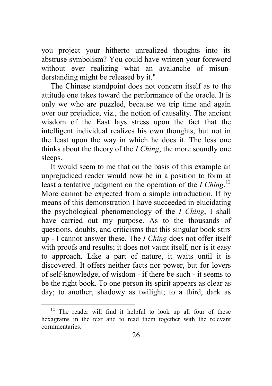you project your hitherto unrealized thoughts into its abstruse symbolism? You could have written your foreword without ever realizing what an avalanche of misunderstanding might be released by it."

The Chinese standpoint does not concern itself as to the attitude one takes toward the performance of the oracle. It is only we who are puzzled, because we trip time and again over our prejudice, viz., the notion of causality. The ancient wisdom of the East lays stress upon the fact that the intelligent individual realizes his own thoughts, but not in the least upon the way in which he does it. The less one thinks about the theory of the *I Ching*, the more soundly one sleeps.

It would seem to me that on the basis of this example an unprejudiced reader would now be in a position to form at least a tentative judgment on the operation of the *I Ching*. 12 More cannot be expected from a simple introduction. If by means of this demonstration I have succeeded in elucidating the psychological phenomenology of the *I Ching*, I shall have carried out my purpose. As to the thousands of questions, doubts, and criticisms that this singular book stirs up - I cannot answer these. The *I Ching* does not offer itself with proofs and results; it does not vaunt itself, nor is it easy to approach. Like a part of nature, it waits until it is discovered. It offers neither facts nor power, but for lovers of self-knowledge, of wisdom - if there be such - it seems to be the right book. To one person its spirit appears as clear as day; to another, shadowy as twilight; to a third, dark as

<sup>&</sup>lt;sup>12</sup> The reader will find it helpful to look up all four of these hexagrams in the text and to read them together with the relevant cormmentaries.